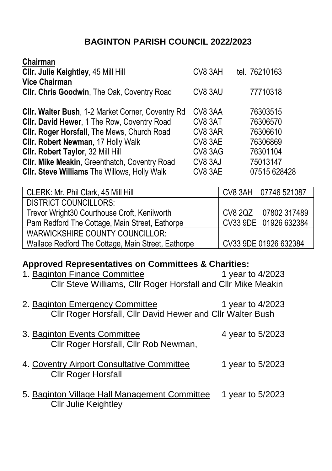## **BAGINTON PARISH COUNCIL 2022/2023**

| Chairman                                                 |         |               |
|----------------------------------------------------------|---------|---------------|
| CIIr. Julie Keightley, 45 Mill Hill                      | CV8 3AH | tel. 76210163 |
| <b>Vice Chairman</b>                                     |         |               |
| Cllr. Chris Goodwin, The Oak, Coventry Road              | CV8 3AU | 77710318      |
|                                                          |         |               |
| <b>CIIr. Walter Bush, 1-2 Market Corner, Coventry Rd</b> | CV8 3AA | 76303515      |
| CIIr. David Hewer, 1 The Row, Coventry Road              | CV8 3AT | 76306570      |
| Cllr. Roger Horsfall, The Mews, Church Road              | CV8 3AR | 76306610      |
| CIIr. Robert Newman, 17 Holly Walk                       | CV8 3AE | 76306869      |
| Cllr. Robert Taylor, 32 Mill Hill                        | CV8 3AG | 76301104      |
| Cllr. Mike Meakin, Greenthatch, Coventry Road            | CV8 3AJ | 75013147      |
| <b>CIIr. Steve Williams The Willows, Holly Walk</b>      | CV8 3AE | 07515 628428  |
|                                                          |         |               |

| CLERK: Mr. Phil Clark, 45 Mill Hill                | CV8 3AH 07746 521087  |
|----------------------------------------------------|-----------------------|
| <b>DISTRICT COUNCILLORS:</b>                       |                       |
| Trevor Wright30 Courthouse Croft, Kenilworth       | CV8 2QZ 07802 317489  |
| Pam Redford The Cottage, Main Street, Eathorpe     | CV33 9DE 01926 632384 |
| <b>WARWICKSHIRE COUNTY COUNCILLOR:</b>             |                       |
| Wallace Redford The Cottage, Main Street, Eathorpe | CV33 9DE 01926 632384 |

## **Approved Representatives on Committees & Charities:**

| 1. Baginton Finance Committee<br>Cllr Steve Williams, Cllr Roger Horsfall and Cllr Mike Meakin | 1 year to 4/2023 |
|------------------------------------------------------------------------------------------------|------------------|
| 2. Baginton Emergency Committee<br>Cllr Roger Horsfall, Cllr David Hewer and Cllr Walter Bush  | 1 year to 4/2023 |
| 3. Baginton Events Committee<br>Cllr Roger Horsfall, Cllr Rob Newman,                          | 4 year to 5/2023 |
| 4. Coventry Airport Consultative Committee<br><b>Cllr Roger Horsfall</b>                       | 1 year to 5/2023 |
| 5. Baginton Village Hall Management Committee<br><b>Cllr Julie Keightley</b>                   | 1 year to 5/2023 |